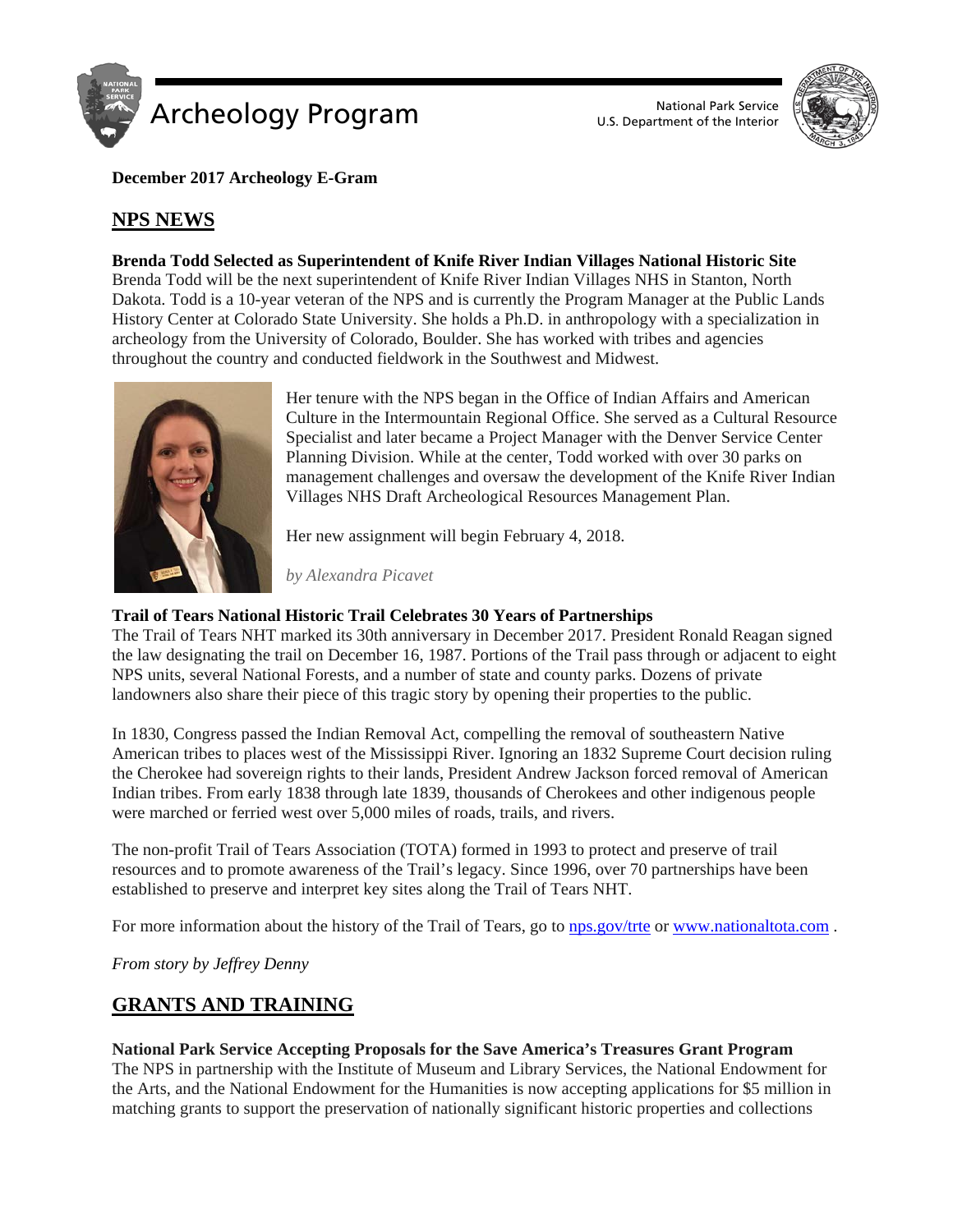

U.S. Department of the Interior



**December 2017 Archeology E-Gram**

# **NPS NEWS**

### **Brenda Todd Selected as Superintendent of Knife River Indian Villages National Historic Site**

Brenda Todd will be the next superintendent of Knife River Indian Villages NHS in Stanton, North Dakota. Todd is a 10-year veteran of the NPS and is currently the Program Manager at the Public Lands History Center at Colorado State University. She holds a Ph.D. in anthropology with a specialization in archeology from the University of Colorado, Boulder. She has worked with tribes and agencies throughout the country and conducted fieldwork in the Southwest and Midwest.



Her tenure with the NPS began in the Office of Indian Affairs and American Culture in the Intermountain Regional Office. She served as a Cultural Resource Specialist and later became a Project Manager with the Denver Service Center Planning Division. While at the center, Todd worked with over 30 parks on management challenges and oversaw the development of the Knife River Indian Villages NHS Draft Archeological Resources Management Plan.

Her new assignment will begin February 4, 2018.

*by Alexandra Picavet*

### **Trail of Tears National Historic Trail Celebrates 30 Years of Partnerships**

The Trail of Tears NHT marked its 30th anniversary in December 2017. President Ronald Reagan signed the law designating the trail on December 16, 1987. Portions of the Trail pass through or adjacent to eight NPS units, several National Forests, and a number of state and county parks. Dozens of private landowners also share their piece of this tragic story by opening their properties to the public.

In 1830, Congress passed the Indian Removal Act, compelling the removal of southeastern Native American tribes to places west of the Mississippi River. Ignoring an 1832 Supreme Court decision ruling the Cherokee had sovereign rights to their lands, President Andrew Jackson forced removal of American Indian tribes. From early 1838 through late 1839, thousands of Cherokees and other indigenous people were marched or ferried west over 5,000 miles of roads, trails, and rivers.

The non-profit Trail of Tears Association (TOTA) formed in 1993 to protect and preserve of trail resources and to promote awareness of the Trail's legacy. Since 1996, over 70 partnerships have been established to preserve and interpret key sites along the Trail of Tears NHT.

For more information about the history of the Trail of Tears, go to [nps.gov/trte](http://www.google.com/url?q=http%3A%2F%2Fnps.gov%2Ftrte&sa=D&sntz=1&usg=AFQjCNHV8uaVBchtYvNEiTX5SL8b3PqQ3g) or [www.nationaltota.com](http://www.google.com/url?q=http%3A%2F%2Fwww.nationaltota.com%2F&sa=D&sntz=1&usg=AFQjCNEbFrNfSWkhO_9P0fCTu39aXgJ90Q).

*From story by Jeffrey Denny*

## **GRANTS AND TRAINING**

#### **National Park Service Accepting Proposals for the Save America's Treasures Grant Program**

The NPS in partnership with the Institute of Museum and Library Services, the National Endowment for the Arts, and the National Endowment for the Humanities is now accepting applications for \$5 million in matching grants to support the preservation of nationally significant historic properties and collections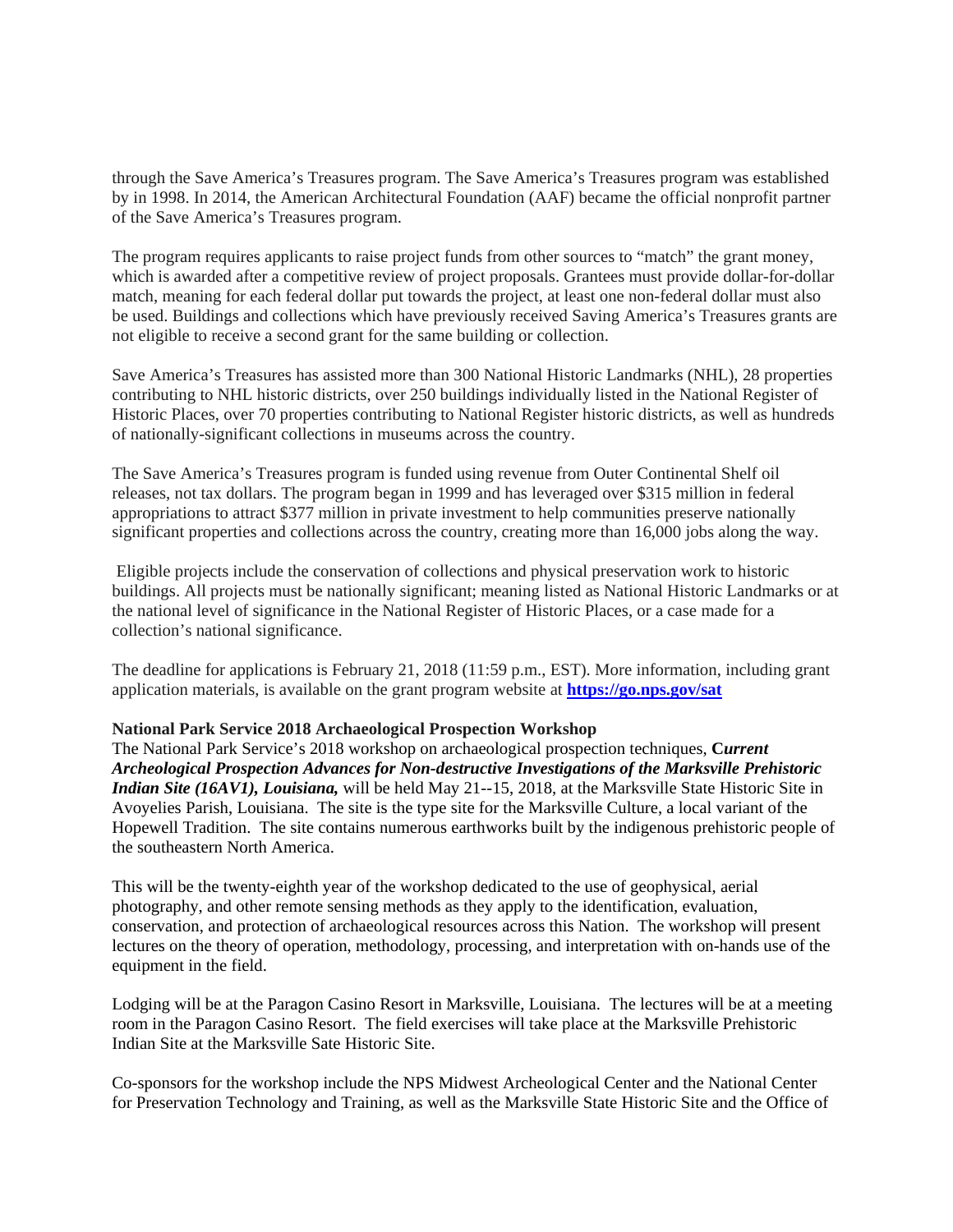through the Save America's Treasures program. The Save America's Treasures program was established by in 1998. In 2014, the American Architectural Foundation (AAF) became the official nonprofit partner of the Save America's Treasures program.

The program requires applicants to raise project funds from other sources to "match" the grant money, which is awarded after a competitive review of project proposals. Grantees must provide dollar-for-dollar match, meaning for each federal dollar put towards the project, at least one non-federal dollar must also be used. Buildings and collections which have previously received Saving America's Treasures grants are not eligible to receive a second grant for the same building or collection.

Save America's Treasures has assisted more than 300 National Historic Landmarks (NHL), 28 properties contributing to NHL historic districts, over 250 buildings individually listed in the National Register of Historic Places, over 70 properties contributing to National Register historic districts, as well as hundreds of nationally-significant collections in museums across the country.

The Save America's Treasures program is funded using revenue from Outer Continental Shelf oil releases, not tax dollars. The program began in 1999 and has leveraged over \$315 million in federal appropriations to attract \$377 million in private investment to help communities preserve nationally significant properties and collections across the country, creating more than 16,000 jobs along the way.

Eligible projects include the conservation of collections and physical preservation work to historic buildings. All projects must be nationally significant; meaning listed as National Historic Landmarks or at the national level of significance in the National Register of Historic Places, or a case made for a collection's national significance.

The deadline for applications is February 21, 2018 (11:59 p.m., EST). More information, including grant application materials, is available on the grant program website at **[https://go.nps.gov/sat](http://link.email.dynect.net/link.php?DynEngagement=true&H=WAA0HYy4enWklLGLVOCoftvRiKxkwcx7028A%2BNZlWSzSEaUD3cyAX7GV5vfHsxB7vE7yGO77gvAeJ%2FmSQ2UsXe85hE7zwtbAH2JCbMVDYQfdoQaMgUluxMgPy84F%2FShD&G=0&R=https%3A%2F%2Fgo.nps.gov%2Fsat&I=20171220150424.0000001d9304%40mail6-33-usnbn1&X=MHwxMDQ2NzU4OjVhM2E3YjgwMWMwNzhlYWZhMDJjMTUxMTs%3D&S=eGQen_rjbSYjjqw1uNtQgtJiNwMM8mQBIBlI2G-ZhLc)**

#### **National Park Service 2018 Archaeological Prospection Workshop**

The National Park Service's 2018 workshop on archaeological prospection techniques, **C***urrent Archeological Prospection Advances for Non-destructive Investigations of the Marksville Prehistoric Indian Site (16AV1), Louisiana,* will be held May 21--15, 2018, at the Marksville State Historic Site in Avoyelies Parish, Louisiana. The site is the type site for the Marksville Culture, a local variant of the Hopewell Tradition. The site contains numerous earthworks built by the indigenous prehistoric people of the southeastern North America.

This will be the twenty-eighth year of the workshop dedicated to the use of geophysical, aerial photography, and other remote sensing methods as they apply to the identification, evaluation, conservation, and protection of archaeological resources across this Nation. The workshop will present lectures on the theory of operation, methodology, processing, and interpretation with on-hands use of the equipment in the field.

Lodging will be at the Paragon Casino Resort in Marksville, Louisiana. The lectures will be at a meeting room in the Paragon Casino Resort. The field exercises will take place at the Marksville Prehistoric Indian Site at the Marksville Sate Historic Site.

Co-sponsors for the workshop include the NPS Midwest Archeological Center and the National Center for Preservation Technology and Training, as well as the Marksville State Historic Site and the Office of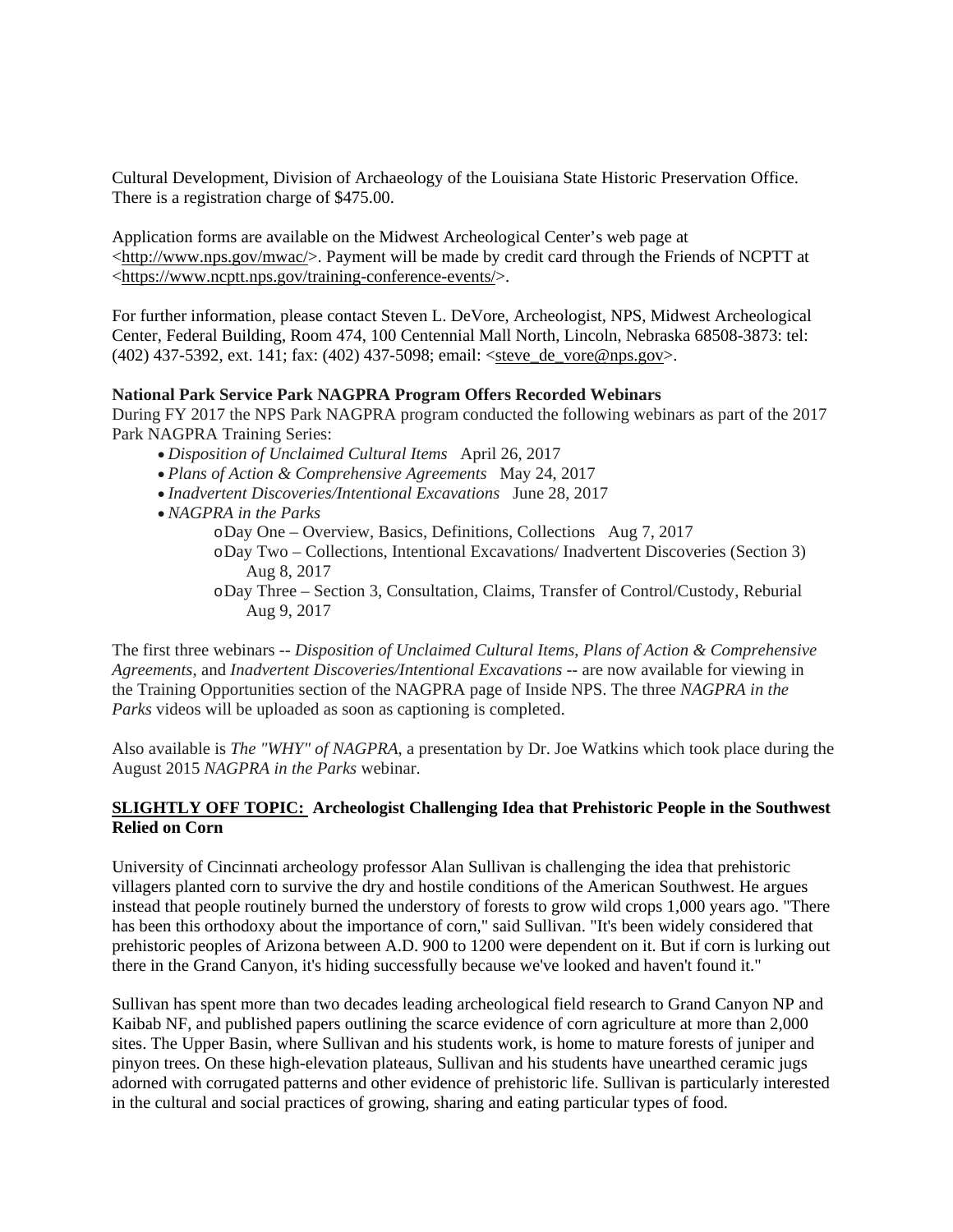Cultural Development, Division of Archaeology of the Louisiana State Historic Preservation Office. There is a registration charge of \$475.00.

Application forms are available on the Midwest Archeological Center's web page at [<http://www.nps.gov/mwac/>](http://www.nps.gov/mwac/). Payment will be made by credit card through the Friends of NCPTT at [<https://www.ncptt.nps.gov/training-conference-events/>](https://www.ncptt.nps.gov/training-conference-events/).

For further information, please contact Steven L. DeVore, Archeologist, NPS, Midwest Archeological Center, Federal Building, Room 474, 100 Centennial Mall North, Lincoln, Nebraska 68508-3873: tel: (402) 437-5392, ext. 141; fax: (402) 437-5098; email: [<steve\\_de\\_vore@nps.gov>](mailto:steve_de_vore@nps.gov).

#### **National Park Service Park NAGPRA Program Offers Recorded Webinars**

During FY 2017 the NPS Park NAGPRA program conducted the following webinars as part of the 2017 Park NAGPRA Training Series:

- *Disposition of Unclaimed Cultural Items* April 26, 2017
- *Plans of Action & Comprehensive Agreements* May 24, 2017
- *Inadvertent Discoveries/Intentional Excavations* June 28, 2017
- *NAGPRA in the Parks*
	- oDay One Overview, Basics, Definitions, Collections Aug 7, 2017
	- oDay Two Collections, Intentional Excavations/ Inadvertent Discoveries (Section 3) Aug 8, 2017
	- oDay Three Section 3, Consultation, Claims, Transfer of Control/Custody, Reburial Aug 9, 2017

The first three webinars -- *Disposition of Unclaimed Cultural Items*, *Plans of Action & Comprehensive Agreements*, and *Inadvertent Discoveries/Intentional Excavations* -- are now available for viewing in the Training Opportunities section of the NAGPRA page of Inside NPS. The three *NAGPRA in the Parks* videos will be uploaded as soon as captioning is completed.

Also available is *The "WHY" of NAGPRA*, a presentation by Dr. Joe Watkins which took place during the August 2015 *NAGPRA in the Parks* webinar.

#### **SLIGHTLY OFF TOPIC: Archeologist Challenging Idea that Prehistoric People in the Southwest Relied on Corn**

University of Cincinnati archeology professor Alan Sullivan is challenging the idea that prehistoric villagers planted corn to survive the dry and hostile conditions of the American Southwest. He argues instead that people routinely burned the understory of forests to grow wild crops 1,000 years ago. "There has been this orthodoxy about the importance of corn," said Sullivan. "It's been widely considered that prehistoric peoples of Arizona between A.D. 900 to 1200 were dependent on it. But if corn is lurking out there in the Grand Canyon, it's hiding successfully because we've looked and haven't found it."

Sullivan has spent more than two decades leading archeological field research to Grand Canyon NP and Kaibab NF, and published papers outlining the scarce evidence of corn agriculture at more than 2,000 sites. The Upper Basin, where Sullivan and his students work, is home to mature forests of juniper and pinyon trees. On these high-elevation plateaus, Sullivan and his students have unearthed ceramic jugs adorned with corrugated patterns and other evidence of prehistoric life. Sullivan is particularly interested in the cultural and social practices of growing, sharing and eating particular types of food.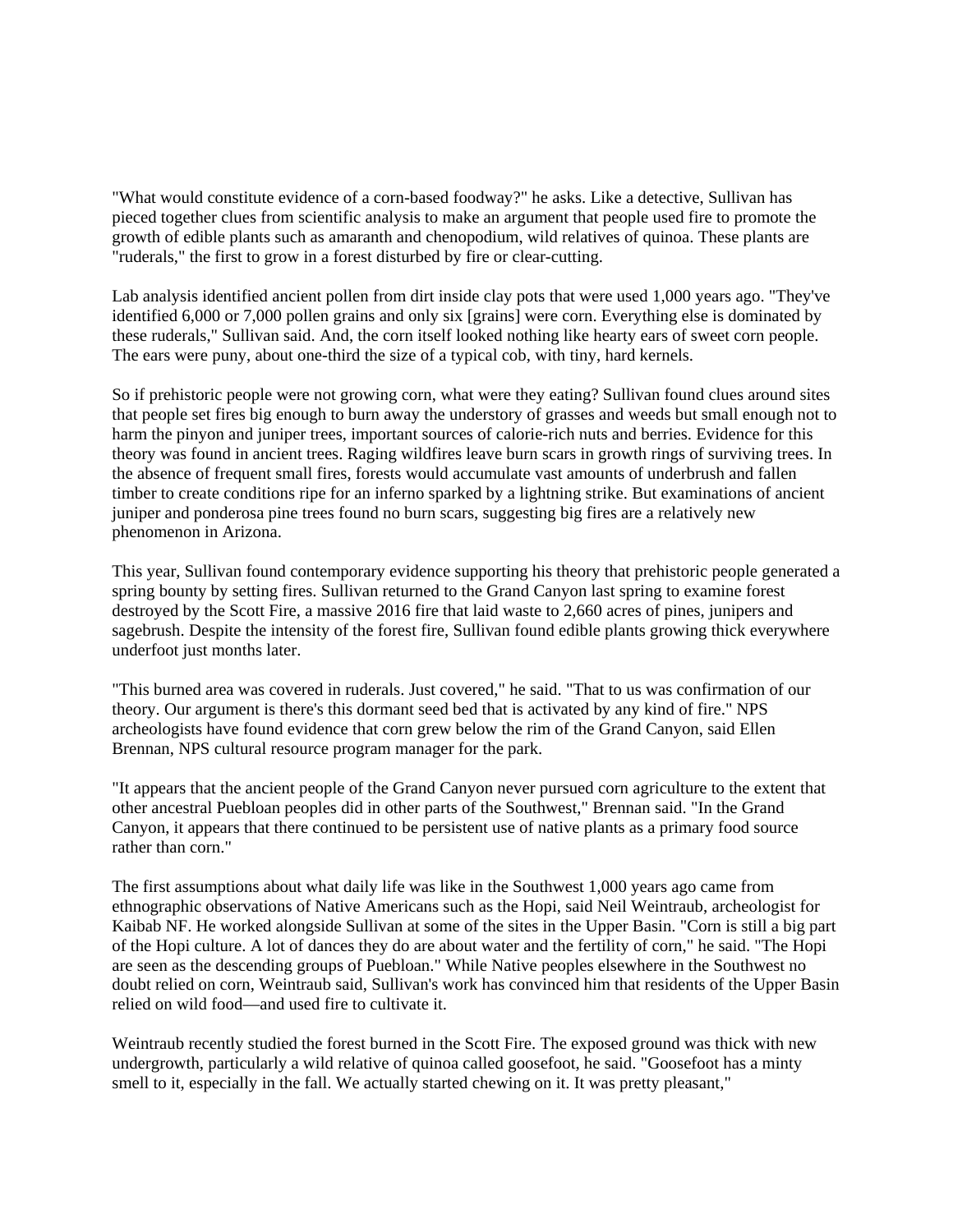"What would constitute evidence of a corn-based foodway?" he asks. Like a detective, Sullivan has pieced together clues from scientific analysis to make an argument that people used fire to promote the growth of edible plants such as amaranth and chenopodium, wild relatives of quinoa. These plants are "ruderals," the first to grow in a forest disturbed by fire or clear-cutting.

Lab analysis identified ancient pollen from dirt inside clay pots that were used 1,000 years ago. "They've identified 6,000 or 7,000 pollen grains and only six [grains] were corn. Everything else is dominated by these ruderals," Sullivan said. And, the corn itself looked nothing like hearty ears of sweet corn people. The ears were puny, about one-third the size of a typical cob, with tiny, hard kernels.

So if prehistoric people were not growing corn, what were they eating? Sullivan found clues around sites that people set fires big enough to burn away the understory of grasses and weeds but small enough not to harm the pinyon and juniper trees, important sources of calorie-rich nuts and berries. Evidence for this theory was found in ancient trees. Raging wildfires leave burn scars in growth rings of surviving trees. In the absence of frequent small fires, forests would accumulate vast amounts of underbrush and fallen timber to create conditions ripe for an inferno sparked by a lightning strike. But examinations of ancient juniper and ponderosa pine trees found no burn scars, suggesting big fires are a relatively new phenomenon in Arizona.

This year, Sullivan found contemporary evidence supporting his theory that prehistoric people generated a spring bounty by setting fires. Sullivan returned to the Grand Canyon last spring to examine forest destroyed by the Scott Fire, a massive 2016 fire that laid waste to 2,660 acres of pines, junipers and sagebrush. Despite the intensity of the forest fire, Sullivan found edible plants growing thick everywhere underfoot just months later.

"This burned area was covered in ruderals. Just covered," he said. "That to us was confirmation of our theory. Our argument is there's this dormant seed bed that is activated by any kind of fire." NPS archeologists have found evidence that corn grew below the rim of the Grand Canyon, said Ellen Brennan, NPS cultural resource program manager for the park.

"It appears that the ancient people of the Grand Canyon never pursued corn agriculture to the extent that other ancestral Puebloan peoples did in other parts of the Southwest," Brennan said. "In the Grand Canyon, it appears that there continued to be persistent use of native plants as a primary food source rather than corn."

The first assumptions about what daily life was like in the Southwest 1,000 years ago came from ethnographic observations of Native Americans such as the Hopi, said Neil Weintraub, archeologist for Kaibab NF. He worked alongside Sullivan at some of the sites in the Upper Basin. "Corn is still a big part of the Hopi culture. A lot of dances they do are about water and the fertility of corn," he said. "The Hopi are seen as the descending groups of Puebloan." While Native peoples elsewhere in the Southwest no doubt relied on corn, Weintraub said, Sullivan's work has convinced him that residents of the Upper Basin relied on wild food—and used fire to cultivate it.

Weintraub recently studied the forest burned in the Scott Fire. The exposed ground was thick with new undergrowth, particularly a wild relative of quinoa called goosefoot, he said. "Goosefoot has a minty smell to it, especially in the fall. We actually started chewing on it. It was pretty pleasant,"